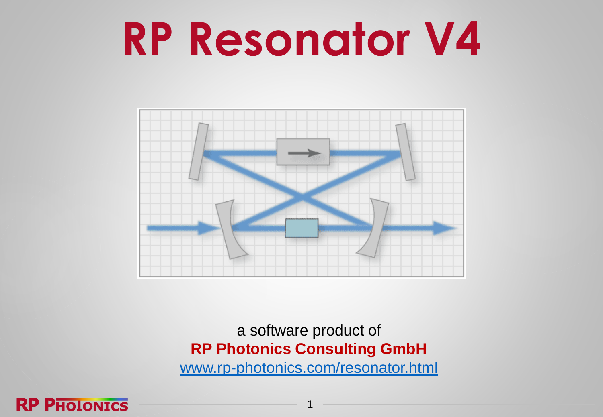# **RP Resonator V4**



a software product of **RP Photonics Consulting GmbH** [www.rp-photonics.com/resonator.html](https://www.rp-photonics.com/resonator.html)

1

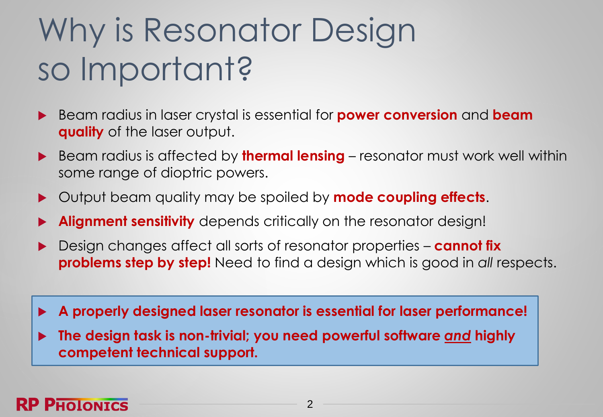### Why is Resonator Design so Important?

- Beam radius in laser crystal is essential for **power conversion** and **beam quality** of the laser output.
- ▶ Beam radius is affected by **thermal lensing** resonator must work well within some range of dioptric powers.
- Output beam quality may be spoiled by **mode coupling effects**.
- **Alignment sensitivity** depends critically on the resonator design!
- ▶ Design changes affect all sorts of resonator properties **cannot fix problems step by step!** Need to find a design which is good in *all* respects.
- **A properly designed laser resonator is essential for laser performance!**
- **The design task is non-trivial; you need powerful software** *and* **highly competent technical support.**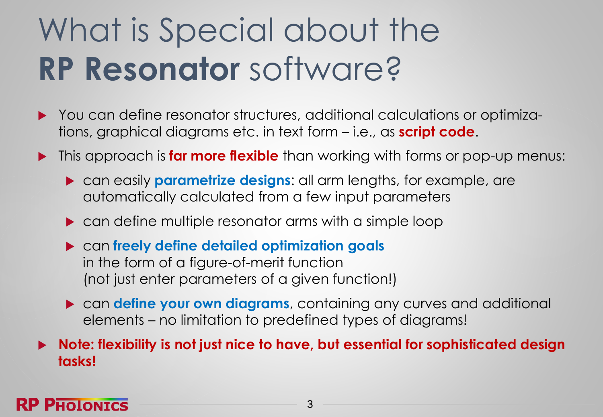### What is Special about the **RP Resonator** software?

- ▶ You can define resonator structures, additional calculations or optimizations, graphical diagrams etc. in text form – i.e., as **script code**.
- **This approach is far more flexible** than working with forms or pop-up menus:
	- can easily **parametrize designs**: all arm lengths, for example, are automatically calculated from a few input parameters
	- **Can define multiple resonator arms with a simple loop**
	- can **freely define detailed optimization goals** in the form of a figure-of-merit function (not just enter parameters of a given function!)
	- can **define your own diagrams**, containing any curves and additional elements – no limitation to predefined types of diagrams!

 **Note: flexibility is not just nice to have, but essential for sophisticated design tasks!**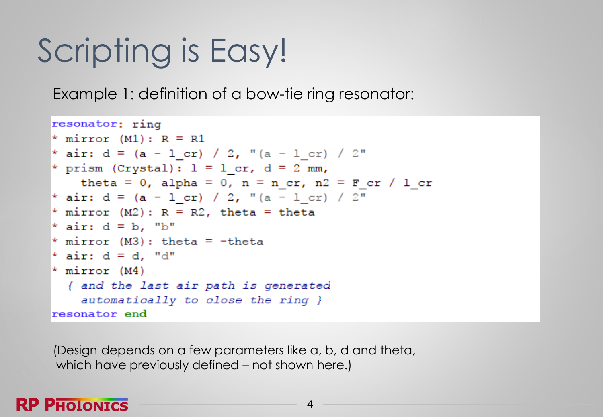### Scripting is Easy!

Example 1: definition of a bow-tie ring resonator:

```
resonator; ring
* mirror (M1): R = R1
* air: d = (a - 1 cr) / 2, "(a - 1 cr) / 2"
* prism (Crystal): l = l cr, d = 2 mm,
   theta = 0, alpha = 0, n = n_cr, n2 = F_cr / 1_cr
* air: d = (a - 1 cr) / 2, "(a - 1 cr) / 2"
* mirror (M2): R = R2, theta = theta
* air: d = b, "b"
* mirror (M3): theta = -theta
* air: d = d, "d"
* mirror (M4)
 { and the last air path is generated
    automatically to close the ring }
resonator end
```
(Design depends on a few parameters like a, b, d and theta, which have previously defined – not shown here.)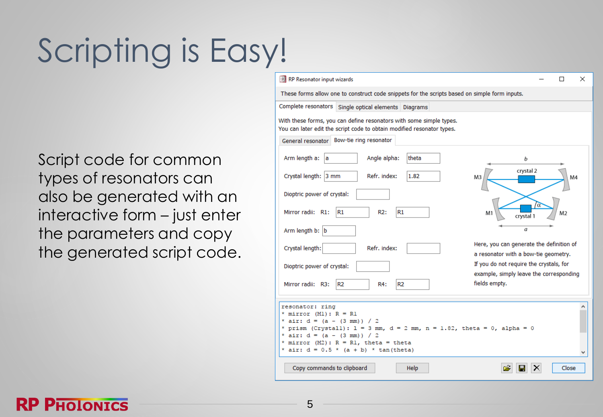## Scripting is Easy!

Script code for common types of resonators can also be generated with an interactive form – just enter the parameters and copy the generated script code.

| RP Resonator input wizards                                                                                                                    | ×<br>П                                                                          |
|-----------------------------------------------------------------------------------------------------------------------------------------------|---------------------------------------------------------------------------------|
| These forms allow one to construct code snippets for the scripts based on simple form inputs.                                                 |                                                                                 |
| Complete resonators Single optical elements Diagrams                                                                                          |                                                                                 |
| With these forms, you can define resonators with some simple types.<br>You can later edit the script code to obtain modified resonator types. |                                                                                 |
| General resonator Bow-tie ring resonator                                                                                                      |                                                                                 |
| theta<br>Arm length a: a<br>Angle alpha:                                                                                                      | b                                                                               |
| Crystal length: 3 mm<br>Refr. index:<br>1.82                                                                                                  | crystal 2<br>M4<br>MЗ                                                           |
| Dioptric power of crystal:                                                                                                                    |                                                                                 |
| Mirror radii: R1:<br>R1<br>R2:<br>R1                                                                                                          | M1<br>crystal 1                                                                 |
| Arm length b: b                                                                                                                               | a                                                                               |
| Refr. index:<br>Crystal length:                                                                                                               | Here, you can generate the definition of                                        |
| Dioptric power of crystal:                                                                                                                    | a resonator with a bow-tie geometry.<br>If you do not require the crystals, for |
|                                                                                                                                               | example, simply leave the corresponding                                         |
| Mirror radii: R3:<br>R <sub>2</sub><br>R <sub>2</sub><br>R4:                                                                                  | fields empty.                                                                   |
|                                                                                                                                               |                                                                                 |
| resonator: ring<br>$*$ mirror (M1): $R = R1$                                                                                                  |                                                                                 |
| * air: $d = (a - (3 mm)) / 2$                                                                                                                 |                                                                                 |
| * prism (Crystall): $1 = 3$ mm, $d = 2$ mm, $n = 1.82$ , theta = 0, alpha = 0<br>* air: $d = (a - (3 mm)) / 2$                                |                                                                                 |
| * mirror (M2): $R = R1$ , theta = theta                                                                                                       |                                                                                 |
| * air: $d = 0.5$ * $(a + b)$ * tan(theta)                                                                                                     |                                                                                 |
| Copy commands to clipboard<br>Help                                                                                                            | õ<br>Close                                                                      |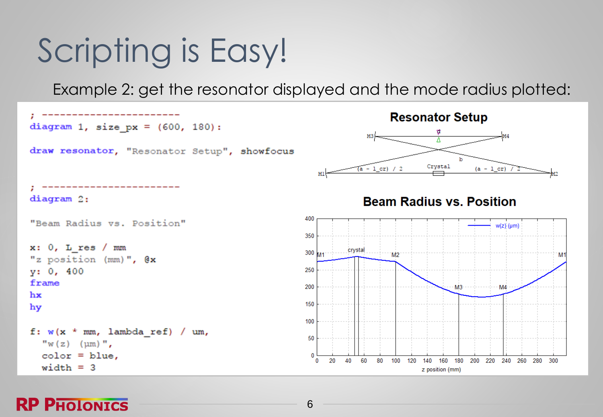### Scripting is Easy!

Example 2: get the resonator displayed and the mode radius plotted:



#### **RP PHOLONICS**

6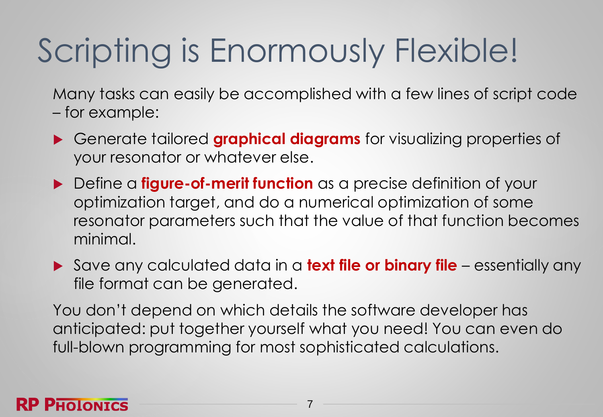### Scripting is Enormously Flexible!

Many tasks can easily be accomplished with a few lines of script code – for example:

- Generate tailored **graphical diagrams** for visualizing properties of your resonator or whatever else.
- ▶ Define a **figure-of-merit function** as a precise definition of your optimization target, and do a numerical optimization of some resonator parameters such that the value of that function becomes minimal.
- Save any calculated data in a **text file or binary file**  essentially any file format can be generated.

You don't depend on which details the software developer has anticipated: put together yourself what you need! You can even do full-blown programming for most sophisticated calculations.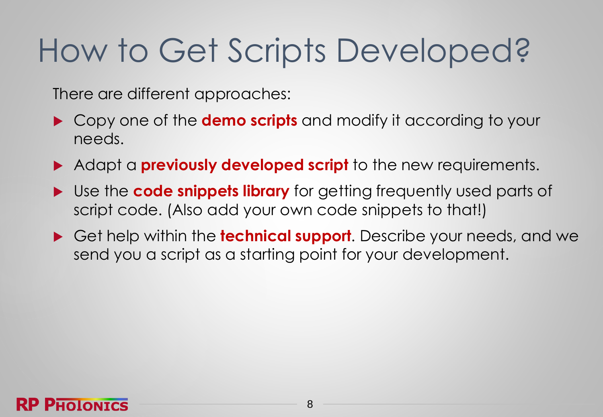### How to Get Scripts Developed?

There are different approaches:

- Copy one of the **demo scripts** and modify it according to your needs.
- Adapt a **previously developed script** to the new requirements.
- Use the **code snippets library** for getting frequently used parts of script code. (Also add your own code snippets to that!)
- Get help within the **technical support**. Describe your needs, and we send you a script as a starting point for your development.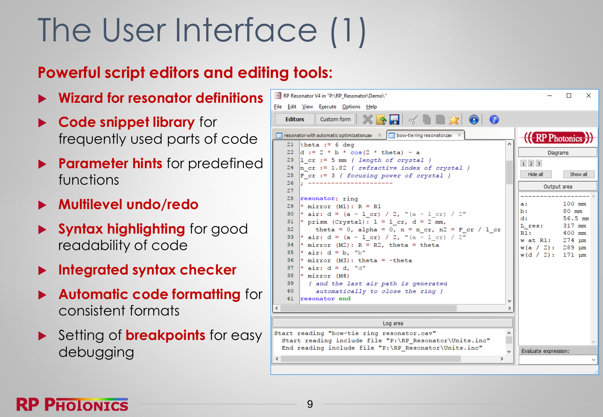### The User Interface (1)

#### **Powerful script editors and editing tools:**

- **Wizard for resonator definitions**
- **Code snippet library** for frequently used parts of code
- **Parameter hints** for predefined functions
- **Multilevel undo/redo**
- **Syntax highlighting** for good readability of code
- **Integrated syntax checker**
- **Automatic code formatting** for consistent formats
- Setting of **breakpoints** for easy debugging

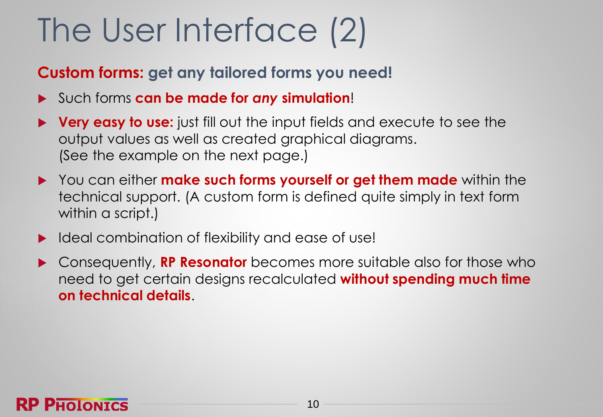### The User Interface (2)

#### **Custom forms: get any tailored forms you need!**

- Such forms **can be made for** *any* **simulation**!
- **Very easy to use:** just fill out the input fields and execute to see the output values as well as created graphical diagrams. (See the example on the next page.)
- You can either **make such forms yourself or get them made** within the technical support. (A custom form is defined quite simply in text form within a script.)
- Ideal combination of flexibility and ease of use!
- Consequently, **RP Resonator** becomes more suitable also for those who need to get certain designs recalculated **without spending much time on technical details**.

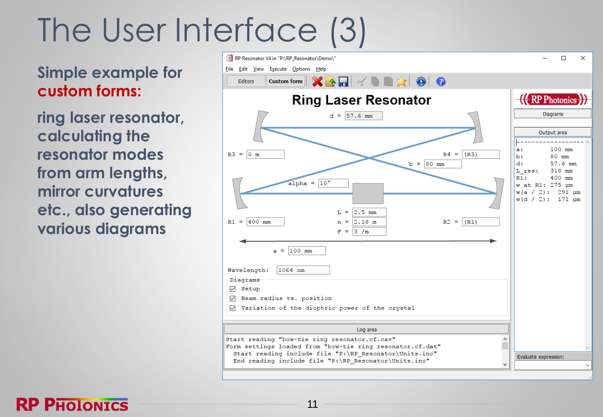### The User Interface (3)

**Simple example for custom forms:**

**ring laser resonator, calculating the resonator modes from arm lengths, mirror curvatures etc., also generating various diagrams**



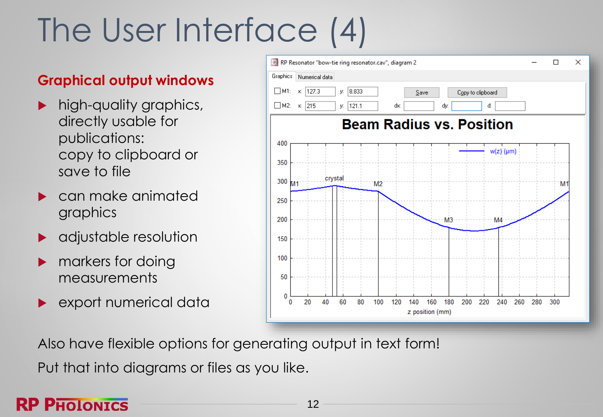### The User Interface (4)

#### **Graphical output windows**

- high-quality graphics, directly usable for publications: copy to clipboard or save to file
- can make animated graphics
- adjustable resolution
- markers for doing measurements
- **EXPORT numerical data**



Also have flexible options for generating output in text form!

Put that into diagrams or files as you like.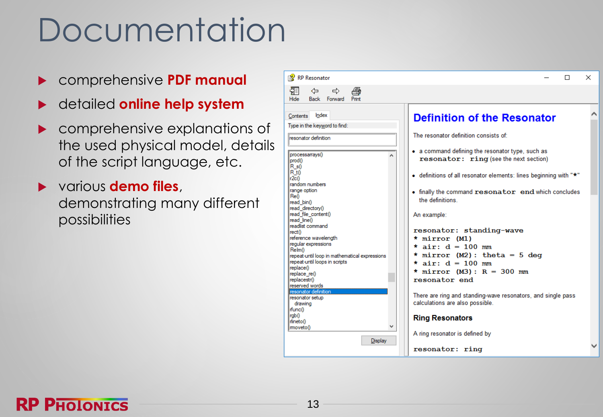### Documentation

- comprehensive **PDF manual**
- detailed **online help system**
- comprehensive explanations of the used physical model, details of the script language, etc.
- various **demo files**, demonstrating many different possibilities

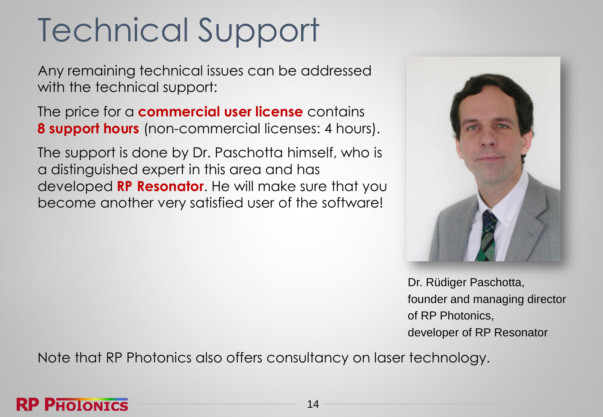### Technical Support

Any remaining technical issues can be addressed with the technical support:

The price for a **commercial user license** contains **8 support hours** (non-commercial licenses: 4 hours).

The support is done by Dr. Paschotta himself, who is a distinguished expert in this area and has developed **RP Resonator**. He will make sure that you become another very satisfied user of the software!



Dr. Rüdiger Paschotta, founder and managing director of RP Photonics, developer of RP Resonator

Note that RP Photonics also offers consultancy on laser technology.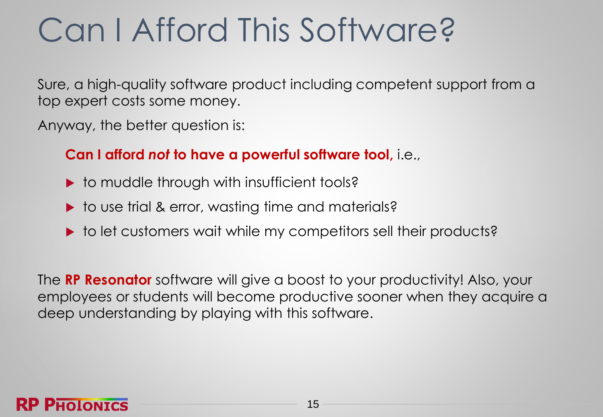### Can I Afford This Software?

Sure, a high-quality software product including competent support from a top expert costs some money.

Anyway, the better question is:

#### **Can I afford** *not* **to have a powerful software tool,** i.e.,

- $\triangleright$  to muddle through with insufficient tools?
- ▶ to use trial & error, wasting time and materials?
- ▶ to let customers wait while my competitors sell their products?

The **RP Resonator** software will give a boost to your productivity! Also, your employees or students will become productive sooner when they acquire a deep understanding by playing with this software.

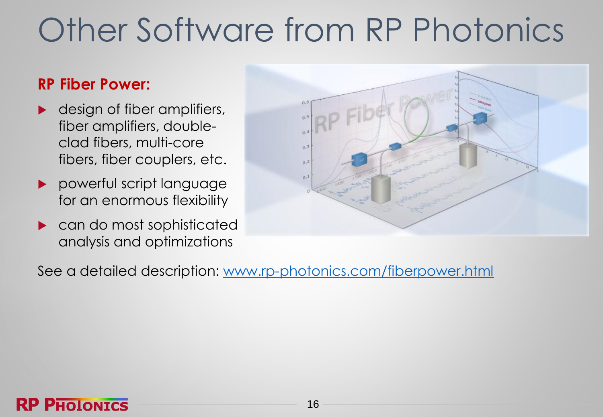### Other Software from RP Photonics

#### **RP Fiber Power:**

- **design of fiber amplifiers,** fiber amplifiers, doubleclad fibers, multi-core fibers, fiber couplers, etc.
- **P** powerful script language for an enormous flexibility
- **Lackson** can do most sophisticated analysis and optimizations



See a detailed description: [www.rp-photonics.com/fiberpower.html](https://www.rp-photonics.com/fiberpower.html)

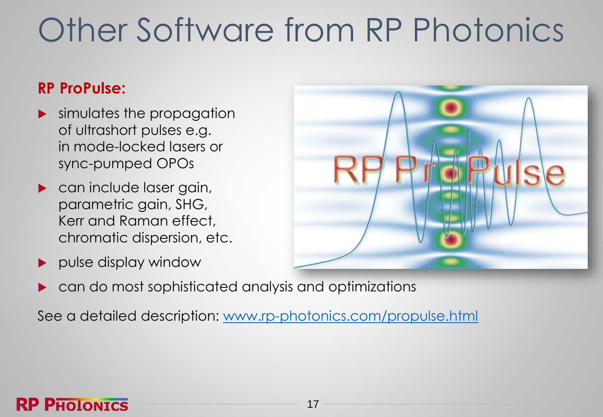### Other Software from RP Photonics

#### **RP ProPulse:**

**RP PHOLONICS** 

- simulates the propagation of ultrashort pulses e.g. in mode-locked lasers or sync-pumped OPOs
- **Can include laser gain,** parametric gain, SHG, Kerr and Raman effect, chromatic dispersion, etc.
- pulse display window



can do most sophisticated analysis and optimizations

See a detailed description: [www.rp-photonics.com/propulse.html](https://www.rp-photonics.com/propulse.html)

17